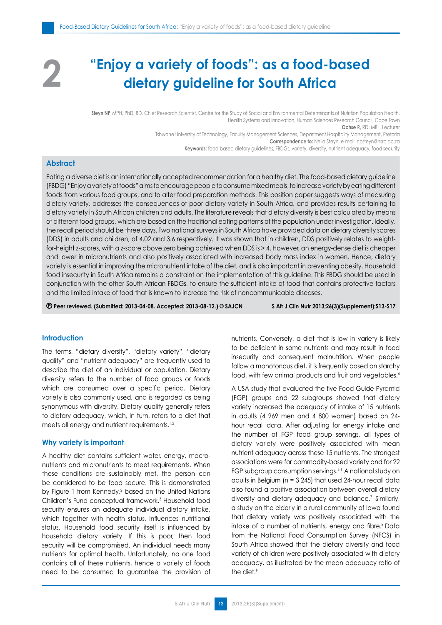# **"Enjoy a variety of foods": as a food-based 2 dietary guideline for South Africa**

**Steyn NP**, MPH, PhD, RD, Chief Research Scientist, Centre for the Study of Social and Environmental Determinants of Nutrition Population Health Health Systems and Innovation, Human Sciences Research Council, Cape Town **Ochse R,** RD, MBL, Lecturer

Tshwane University of Technology, Faculty Management Sciences, Department Hospitality Management, Pretoria

**Correspondence to:** Nelia Steyn, e-mail: npsteyn@hsrc.ac.za

**Keywords:** food-based dietary guidelines, FBDGs, variety, diversity, nutrient adequacy, food security

# **Abstract**

Eating a diverse diet is an internationally accepted recommendation for a healthy diet. The food-based dietary guideline (FBDG) "Enjoy a variety of foods" aims to encourage people to consume mixed meals, to increase variety by eating different foods from various food groups, and to alter food preparation methods. This position paper suggests ways of measuring dietary variety, addresses the consequences of poor dietary variety in South Africa, and provides results pertaining to dietary variety in South African children and adults. The literature reveals that dietary diversity is best calculated by means of different food groups, which are based on the traditional eating patterns of the population under investigation. Ideally, the recall period should be three days. Two national surveys in South Africa have provided data on dietary diversity scores (DDS) in adults and children, of 4.02 and 3.6 respectively. It was shown that in children, DDS positively relates to weightfor-height z-scores, with a z-score above zero being achieved when DDS is > 4. However, an energy-dense diet is cheaper and lower in micronutrients and also positively associated with increased body mass index in women. Hence, dietary variety is essential in improving the micronutrient intake of the diet, and is also important in preventing obesity. Household food insecurity in South Africa remains a constraint on the implementation of this guideline. This FBDG should be used in conjunction with the other South African FBDGs, to ensure the sufficient intake of food that contains protective factors and the limited intake of food that is known to increase the risk of noncommunicable diseases.

 **Peer reviewed. (Submitted: 2013-04-08. Accepted: 2013-08-12.) © SAJCN S Afr J Clin Nutr 2013;26(3)(Supplement):S13-S17**

# **Introduction**

The terms, "dietary diversity", "dietary variety", "dietary quality" and "nutrient adequacy" are frequently used to describe the diet of an individual or population. Dietary diversity refers to the number of food groups or foods which are consumed over a specific period. Dietary variety is also commonly used, and is regarded as being synonymous with diversity. Dietary quality generally refers to dietary adequacy, which, in turn, refers to a diet that meets all energy and nutrient requirements.<sup>1,2</sup>

#### **Why variety is important**

A healthy diet contains sufficient water, energy, macronutrients and micronutrients to meet requirements. When these conditions are sustainably met, the person can be considered to be food secure. This is demonstrated by Figure 1 from Kennedy,<sup>2</sup> based on the United Nations Children's Fund conceptual framework.3 Household food security ensures an adequate individual dietary intake, which together with health status, influences nutritional status. Household food security itself is influenced by household dietary variety. If this is poor, then food security will be compromised. An individual needs many nutrients for optimal health. Unfortunately, no one food contains all of these nutrients, hence a variety of foods need to be consumed to guarantee the provision of nutrients. Conversely, a diet that is low in variety is likely to be deficient in some nutrients and may result in food insecurity and consequent malnutrition. When people follow a monotonous diet, it is frequently based on starchy food, with few animal products and fruit and vegetables.4

A USA study that evaluated the five Food Guide Pyramid (FGP) groups and 22 subgroups showed that dietary variety increased the adequacy of intake of 15 nutrients in adults (4 969 men and 4 800 women) based on 24 hour recall data. After adjusting for energy intake and the number of FGP food group servings, all types of dietary variety were positively associated with mean nutrient adequacy across these 15 nutrients. The strongest associations were for commodity-based variety and for 22 FGP subgroup consumption servings.<sup>5,6</sup> A national study on adults in Belgium ( $n = 3245$ ) that used 24-hour recall data also found a positive association between overall dietary diversity and dietary adequacy and balance.<sup>7</sup> Similarly, a study on the elderly in a rural community of Iowa found that dietary variety was positively associated with the intake of a number of nutrients, energy and fibre.<sup>8</sup> Data from the National Food Consumption Survey (NFCS) in South Africa showed that the dietary diversity and food variety of children were positively associated with dietary adequacy, as illustrated by the mean adequacy ratio of the diet.<sup>9</sup>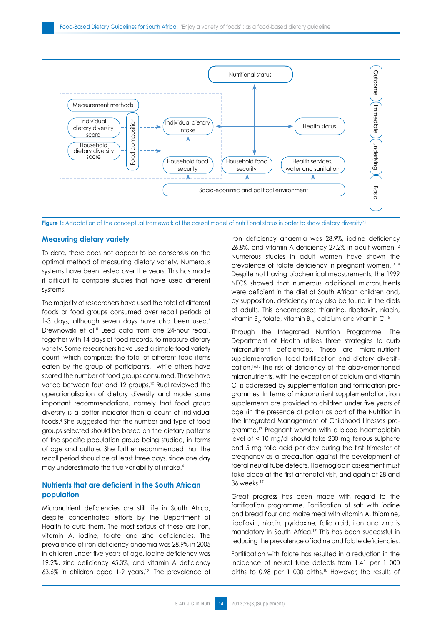

**Figure 1:** Adaptation of the conceptual framework of the causal model of nutritional status in order to show dietary diversity<sup>2,3</sup>

### **Measuring dietary variety**

To date, there does not appear to be consensus on the optimal method of measuring dietary variety. Numerous systems have been tested over the years. This has made it difficult to compare studies that have used different systems.

The majority of researchers have used the total of different foods or food groups consumed over recall periods of 1-3 days, although seven days have also been used.<sup>4</sup> Drewnowski et al<sup>10</sup> used data from one 24-hour recall, together with 14 days of food records, to measure dietary variety. Some researchers have used a simple food variety count, which comprises the total of different food items eaten by the group of participants,<sup>11</sup> while others have scored the number of food groups consumed. These have varied between four and 12 groups.<sup>10</sup> Ruel reviewed the operationalisation of dietary diversity and made some important recommendations, namely that food group diversity is a better indicator than a count of individual foods.4 She suggested that the number and type of food groups selected should be based on the dietary patterns of the specific population group being studied, in terms of age and culture. She further recommended that the recall period should be at least three days, since one day may underestimate the true variability of intake.4

# **Nutrients that are deficient in the South African population**

Micronutrient deficiencies are still rife in South Africa, despite concentrated efforts by the Department of Health to curb them. The most serious of these are iron, vitamin A, iodine, folate and zinc deficiencies. The prevalence of iron deficiency anaemia was 28.9% in 2005 in children under five years of age. Iodine deficiency was 19.2%, zinc deficiency 45.3%, and vitamin A deficiency 63.6% in children aged 1-9 years.12 The prevalence of iron deficiency anaemia was 28.9%, iodine deficiency 26.8%, and vitamin A deficiency 27.2% in adult women.<sup>12</sup> Numerous studies in adult women have shown the prevalence of folate deficiency in pregnant women.13,14 Despite not having biochemical measurements, the 1999 NFCS showed that numerous additional micronutrients were deficient in the diet of South African children and, by supposition, deficiency may also be found in the diets of adults. This encompasses thiamine, riboflavin, niacin, vitamin  $B_{\varepsilon}$ , folate, vitamin  $B_{12'}$  calcium and vitamin C.<sup>15</sup>

Through the Integrated Nutrition Programme, The Department of Health utilises three strategies to curb micronutrient deficiencies. These are micro-nutrient supplementation, food fortification and dietary diversification.16,17 The risk of deficiency of the abovementioned micronutrients, with the exception of calcium and vitamin C, is addressed by supplementation and fortification programmes. In terms of micronutrient supplementation, iron supplements are provided to children under five years of age (in the presence of pallor) as part of the Nutrition in the Integrated Management of Childhood Illnesses programme.17 Pregnant women with a blood haemoglobin level of < 10 mg/dl should take 200 mg ferrous sulphate and 5 mg folic acid per day during the first trimester of pregnancy as a precaution against the development of foetal neural tube defects. Haemoglobin assessment must take place at the first antenatal visit, and again at 28 and 36 weeks.<sup>17</sup>

Great progress has been made with regard to the fortification programme. Fortification of salt with iodine and bread flour and maize meal with vitamin A, thiamine, riboflavin, niacin, pyridoxine, folic acid, iron and zinc is mandatory in South Africa.17 This has been successful in reducing the prevalence of iodine and folate deficiencies.

Fortification with folate has resulted in a reduction in the incidence of neural tube defects from 1.41 per 1 000 births to 0.98 per 1 000 births.<sup>18</sup> However, the results of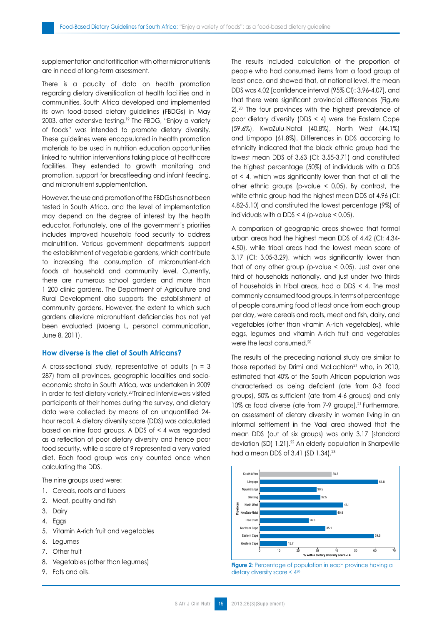supplementation and fortification with other micronutrients are in need of long-term assessment.

There is a paucity of data on health promotion regarding dietary diversification at health facilities and in communities. South Africa developed and implemented its own food-based dietary guidelines (FBDGs) in May 2003, after extensive testing.<sup>19</sup> The FBDG, "Enjoy a variety of foods" was intended to promote dietary diversity. These guidelines were encapsulated in health promotion materials to be used in nutrition education opportunities linked to nutrition interventions taking place at healthcare facilities. They extended to growth monitoring and promotion, support for breastfeeding and infant feeding, and micronutrient supplementation.

However, the use and promotion of the FBDGs has not been tested in South Africa, and the level of implementation may depend on the degree of interest by the health educator. Fortunately, one of the government's priorities includes improved household food security to address malnutrition. Various government departments support the establishment of vegetable gardens, which contribute to increasing the consumption of micronutrient-rich foods at household and community level. Currently, there are numerous school gardens and more than 1 200 clinic gardens. The Department of Agriculture and Rural Development also supports the establishment of community gardens. However, the extent to which such gardens alleviate micronutrient deficiencies has not yet been evaluated (Moeng L, personal communication, June 8, 2011).

# **How diverse is the diet of South Africans?**

A cross-sectional study, representative of adults ( $n = 3$ ) 287) from all provinces, geographic localities and socioeconomic strata in South Africa, was undertaken in 2009 in order to test dietary variety.20 Trained interviewers visited participants at their homes during the survey, and dietary data were collected by means of an unquantified 24 hour recall. A dietary diversity score (DDS) was calculated based on nine food groups. A DDS of < 4 was regarded as a reflection of poor dietary diversity and hence poor food security, while a score of 9 represented a very varied diet. Each food group was only counted once when calculating the DDS.

The nine groups used were:

- 1. Cereals, roots and tubers
- 2. Meat, poultry and fish
- 3. Dairy
- 4. Eggs
- 5. Vitamin A-rich fruit and vegetables
- 6. Legumes
- 7. Other fruit
- 8. Vegetables (other than legumes)
- 9. Fats and oils.

The results included calculation of the proportion of people who had consumed items from a food group at least once, and showed that, at national level, the mean DDS was 4.02 [confidence interval (95% CI): 3.96-4.07], and that there were significant provincial differences (Figure 2).20 The four provinces with the highest prevalence of poor dietary diversity (DDS < 4) were the Eastern Cape (59.6%), KwaZulu-Natal (40.8%), North West (44.1%) and Limpopo (61.8%). Differences in DDS according to ethnicity indicated that the black ethnic group had the lowest mean DDS of 3.63 (CI: 3.55-3.71) and constituted the highest percentage (50%) of individuals with a DDS of  $\leq$  4, which was significantly lower than that of all the other ethnic groups (p-value < 0.05). By contrast, the white ethnic group had the highest mean DDS of 4.96 (CI: 4.82-5.10) and constituted the lowest percentage (9%) of individuals with a DDS  $<$  4 (p-value  $<$  0.05).

A comparison of geographic areas showed that formal urban areas had the highest mean DDS of 4.42 (CI: 4.34- 4.50), while tribal areas had the lowest mean score of 3.17 (CI: 3.05-3.29), which was significantly lower than that of any other group (p-value  $\leq$  0.05). Just over one third of households nationally, and just under two thirds of households in tribal areas, had a DDS < 4. The most commonly consumed food groups, in terms of percentage of people consuming food at least once from each group per day, were cereals and roots, meat and fish, dairy, and vegetables (other than vitamin A-rich vegetables), while eggs, legumes and vitamin A-rich fruit and vegetables were the least consumed.20

The results of the preceding national study are similar to those reported by Drimi and McLachlan<sup>21</sup> who, in 2010, estimated that 40% of the South African population was characterised as being deficient (ate from 0-3 food groups), 50% as sufficient (ate from 4-6 groups) and only 10% as food diverse (ate from 7-9 groups).<sup>21</sup> Furthermore, an assessment of dietary diversity in women living in an informal settlement in the Vaal area showed that the mean DDS (out of six groups) was only 3.17 [standard deviation (SD) 1.21].22 An elderly population in Sharpeville had a mean DDS of 3.41 (SD 1.34).<sup>23</sup>



**Figure 2**: Percentage of population in each province having a dietary diversity score < 420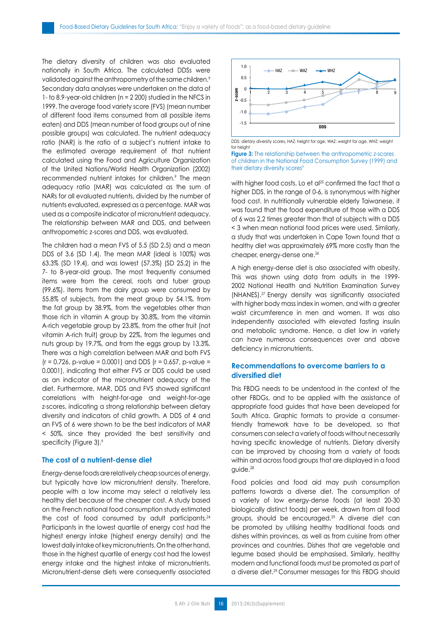The dietary diversity of children was also evaluated nationally in South Africa. The calculated DDSs were validated against the anthropometry of the same children.<sup>9</sup> Secondary data analyses were undertaken on the data of 1- to 8.9-year-old children (n = 2 200) studied in the NFCS in 1999. The average food variety score (FVS) (mean number of different food items consumed from all possible items eaten) and DDS (mean number of food groups out of nine possible groups) was calculated. The nutrient adequacy ratio (NAR) is the ratio of a subject's nutrient intake to the estimated average requirement of that nutrient calculated using the Food and Agriculture Organization of the United Nations/World Health Organization (2002) recommended nutrient intakes for children.<sup>9</sup> The mean adequacy ratio (MAR) was calculated as the sum of NARs for all evaluated nutrients, divided by the number of nutrients evaluated, expressed as a percentage. MAR was used as a composite indicator of micronutrient adequacy. The relationship between MAR and DDS, and between anthropometric z-scores and DDS, was evaluated.

The children had a mean FVS of 5.5 (SD 2.5) and a mean DDS of 3.6 (SD 1.4). The mean MAR (ideal is 100%) was 63.3% (SD 19.4), and was lowest (57.3%) (SD 25.2) in the 7- to 8-year-old group. The most frequently consumed items were from the cereal, roots and tuber group (99.6%). Items from the dairy group were consumed by 55.8% of subjects, from the meat group by 54.1%, from the fat group by 38.9%, from the vegetables other than those rich in vitamin A group by 30.8%, from the vitamin A-rich vegetable group by 23.8%, from the other fruit (not vitamin A-rich fruit) group by 22%, from the legumes and nuts group by 19.7%, and from the eggs group by 13.3%. There was a high correlation between MAR and both FVS  $(r = 0.726, p-value = 0.0001)$  and DDS  $(r = 0.657, p-value =$ 0.0001), indicating that either FVS or DDS could be used as an indicator of the micronutrient adequacy of the diet. Furthermore, MAR, DDS and FVS showed significant correlations with height-for-age and weight-for-age z-scores, indicating a strong relationship between dietary diversity and indicators of child growth. A DDS of 4 and an FVS of 6 were shown to be the best indicators of MAR < 50%, since they provided the best sensitivity and specificity (Figure 3).9

#### **The cost of a nutrient-dense diet**

Energy-dense foods are relatively cheap sources of energy, but typically have low micronutrient density. Therefore, people with a low income may select a relatively less healthy diet because of the cheaper cost. A study based on the French national food consumption study estimated the cost of food consumed by adult participants.<sup>24</sup> Participants in the lowest quartile of energy cost had the highest energy intake (highest energy density) and the lowest daily intake of key micronutrients. On the other hand, those in the highest quartile of energy cost had the lowest energy intake and the highest intake of micronutrients. Micronutrient-dense diets were consequently associated



DDS: dietary diversity scores, HAZ: height for age, WAZ: weight for age, WHZ: weight for height

**Figure 3:** The relationship between the anthropometric z-scores of children in the National Food Consumption Survey (1999) and their dietary diversity scores<sup>9</sup>

with higher food costs. Lo et al<sup>25</sup> confirmed the fact that a higher DDS, in the range of 0-6, is synonymous with higher food cost. In nutritionally vulnerable elderly Taiwanese, it was found that the food expenditure of those with a DDS of 6 was 2.2 times greater than that of subjects with a DDS < 3 when mean national food prices were used. Similarly, a study that was undertaken in Cape Town found that a healthy diet was approximately 69% more costly than the cheaper, energy-dense one.<sup>26</sup>

A high energy-dense diet is also associated with obesity. This was shown using data from adults in the 1999- 2002 National Health and Nutrition Examination Survey (NHANES).<sup>27</sup> Energy density was significantly associated with higher body mass index in women, and with a greater waist circumference in men and women. It was also independently associated with elevated fasting insulin and metabolic syndrome. Hence, a diet low in variety can have numerous consequences over and above deficiency in micronutrients.

## **Recommendations to overcome barriers to a diversified diet**

This FBDG needs to be understood in the context of the other FBDGs, and to be applied with the assistance of appropriate food guides that have been developed for South Africa. Graphic formats to provide a consumerfriendly framework have to be developed, so that consumers can select a variety of foods without necessarily having specific knowledge of nutrients. Dietary diversity can be improved by choosing from a variety of foods within and across food groups that are displayed in a food guide.28

Food policies and food aid may push consumption patterns towards a diverse diet. The consumption of a variety of low energy-dense foods (at least 20-30 biologically distinct foods) per week, drawn from all food groups, should be encouraged.29 A diverse diet can be promoted by utilising healthy traditional foods and dishes within provinces, as well as from cuisine from other provinces and countries. Dishes that are vegetable and legume based should be emphasised. Similarly, healthy modern and functional foods must be promoted as part of a diverse diet.29 Consumer messages for this FBDG should